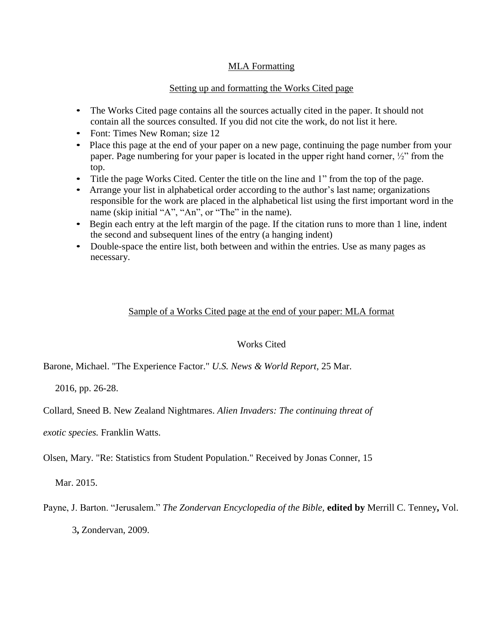## MLA Formatting

## Setting up and formatting the Works Cited page

- The Works Cited page contains all the sources actually cited in the paper. It should not contain all the sources consulted. If you did not cite the work, do not list it here.
- Font: Times New Roman; size 12
- Place this page at the end of your paper on a new page, continuing the page number from your paper. Page numbering for your paper is located in the upper right hand corner, ½" from the top.
- Title the page Works Cited. Center the title on the line and 1" from the top of the page.
- Arrange your list in alphabetical order according to the author's last name; organizations responsible for the work are placed in the alphabetical list using the first important word in the name (skip initial "A", "An", or "The" in the name).
- Begin each entry at the left margin of the page. If the citation runs to more than 1 line, indent the second and subsequent lines of the entry (a hanging indent)
- Double-space the entire list, both between and within the entries. Use as many pages as necessary.

## Sample of a Works Cited page at the end of your paper: MLA format

## Works Cited

Barone, Michael. "The Experience Factor." *U.S. News & World Report,* 25 Mar.

2016, pp. 26-28.

Collard, Sneed B. New Zealand Nightmares. *Alien Invaders: The continuing threat of* 

*exotic species.* Franklin Watts.

Olsen, Mary. "Re: Statistics from Student Population." Received by Jonas Conner, 15

Mar. 2015.

Payne, J. Barton. "Jerusalem." *The Zondervan Encyclopedia of the Bible,* **edited by** Merrill C. Tenney**,** Vol. 3**,** Zondervan, 2009.